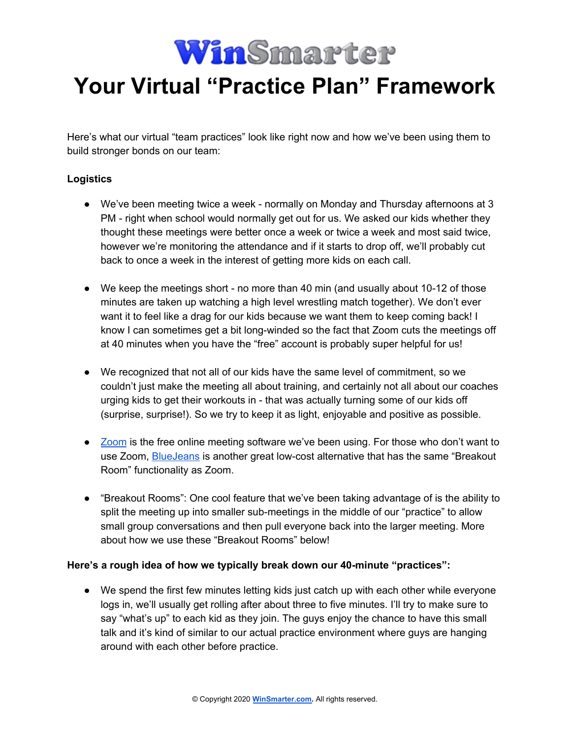

## **Your Virtual "Practice Plan" Framework**

Here's what our virtual "team practices" look like right now and how we've been using them to build stronger bonds on our team:

## **Logistics**

- We've been meeting twice a week normally on Monday and Thursday afternoons at 3 PM - right when school would normally get out for us. We asked our kids whether they thought these meetings were better once a week or twice a week and most said twice, however we're monitoring the attendance and if it starts to drop off, we'll probably cut back to once a week in the interest of getting more kids on each call.
- We keep the meetings short no more than 40 min (and usually about 10-12 of those minutes are taken up watching a high level wrestling match together). We don't ever want it to feel like a drag for our kids because we want them to keep coming back! I know I can sometimes get a bit long-winded so the fact that Zoom cuts the meetings off at 40 minutes when you have the "free" account is probably super helpful for us!
- We recognized that not all of our kids have the same level of commitment, so we couldn't just make the meeting all about training, and certainly not all about our coaches urging kids to get their workouts in - that was actually turning some of our kids off (surprise, surprise!). So we try to keep it as light, enjoyable and positive as possible.
- [Zoom](https://zoom.us/) is the free online meeting software we've been using. For those who don't want to use Zoom, **[BlueJeans](https://www.bluejeans.com/)** is another great low-cost alternative that has the same "Breakout Room" functionality as Zoom.
- "Breakout Rooms": One cool feature that we've been taking advantage of is the ability to split the meeting up into smaller sub-meetings in the middle of our "practice" to allow small group conversations and then pull everyone back into the larger meeting. More about how we use these "Breakout Rooms" below!

## **Here's a rough idea of how we typically break down our 40-minute "practices":**

● We spend the first few minutes letting kids just catch up with each other while everyone logs in, we'll usually get rolling after about three to five minutes. I'll try to make sure to say "what's up" to each kid as they join. The guys enjoy the chance to have this small talk and it's kind of similar to our actual practice environment where guys are hanging around with each other before practice.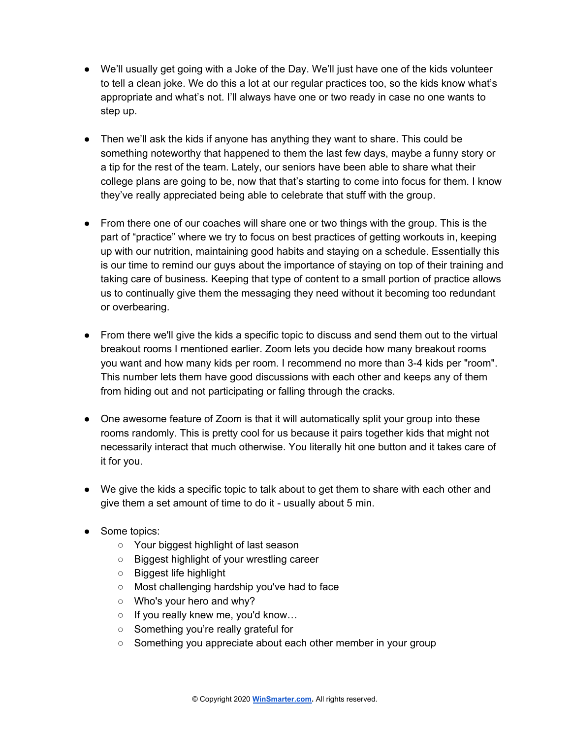- We'll usually get going with a Joke of the Day. We'll just have one of the kids volunteer to tell a clean joke. We do this a lot at our regular practices too, so the kids know what's appropriate and what's not. I'll always have one or two ready in case no one wants to step up.
- Then we'll ask the kids if anyone has anything they want to share. This could be something noteworthy that happened to them the last few days, maybe a funny story or a tip for the rest of the team. Lately, our seniors have been able to share what their college plans are going to be, now that that's starting to come into focus for them. I know they've really appreciated being able to celebrate that stuff with the group.
- From there one of our coaches will share one or two things with the group. This is the part of "practice" where we try to focus on best practices of getting workouts in, keeping up with our nutrition, maintaining good habits and staying on a schedule. Essentially this is our time to remind our guys about the importance of staying on top of their training and taking care of business. Keeping that type of content to a small portion of practice allows us to continually give them the messaging they need without it becoming too redundant or overbearing.
- From there we'll give the kids a specific topic to discuss and send them out to the virtual breakout rooms I mentioned earlier. Zoom lets you decide how many breakout rooms you want and how many kids per room. I recommend no more than 3-4 kids per "room". This number lets them have good discussions with each other and keeps any of them from hiding out and not participating or falling through the cracks.
- One awesome feature of Zoom is that it will automatically split your group into these rooms randomly. This is pretty cool for us because it pairs together kids that might not necessarily interact that much otherwise. You literally hit one button and it takes care of it for you.
- We give the kids a specific topic to talk about to get them to share with each other and give them a set amount of time to do it - usually about 5 min.
- Some topics:
	- Your biggest highlight of last season
	- Biggest highlight of your wrestling career
	- Biggest life highlight
	- Most challenging hardship you've had to face
	- Who's your hero and why?
	- If you really knew me, you'd know…
	- Something you're really grateful for
	- Something you appreciate about each other member in your group